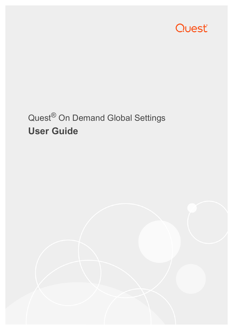

# Quest® On Demand Global Settings **User Guide**

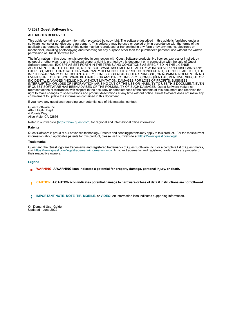#### **© 2021 Quest Software Inc.**

#### **ALL RIGHTS RESERVED.**

This guide contains proprietary information protected by copyright. The software described in this guide is furnished under a software license or nondisclosure agreement. This software may be used or copied only in accordance with the terms of the applicable agreement. No part of this guide may be reproduced or transmitted in any form or by any means, electronic or mechanical, including photocopying and recording for any purpose other than the purchaser's personal use without the written permission of Quest Software Inc.

The information in this document is provided in connection with Quest Software products. No license, express or implied, by estoppel or otherwise, to any intellectual property right is granted by this document or in connection with the sale of Quest<br>Software products. EXCEPT AS SET FORTH IN THE TERMS AND CONDITIONS AS SPECIFIED IN THE LICENSE<br>A EXPRESS, IMPLIED OR STATUTORY WARRANTY RELATING TO ITS PRODUCTS INCLUDING, BUT NOT LIMITED TO, THE IMPLIED WARRANTY OF MERCHANTABILITY, FITNESS FOR A PARTICULAR PURPOSE, OR NON-INFRINGEMENT. IN NO EVENT SHALL QUEST SOFTWARE BE LIABLE FOR ANY DIRECT, INDIRECT, CONSEQUENTIAL, PUNITIVE, SPECIAL OR INCIDENTAL DAMAGES (INCLUDING, WITHOUT LIMITATION, DAMAGES FOR LOSS OF PROFITS, BUSINESS<br>INTERRUPTION OR LOSS OF INFORMATION) ARISING OUT OF THE USE OR INABILITY TO USE THIS DOCUMENT, EVEN IF QUEST SOFTWARE HAS BEEN ADVISED OF THE POSSIBILITY OF SUCH DAMAGES. Quest Software makes no representations or warranties with respect to the accuracy or completeness of the contents of this document and reserves the right to make changes to specifications and product descriptions at any time without notice. Quest Software does not make any commitment to update the information contained in this document.

If you have any questions regarding your potential use of this material, contact:

Quest Software Inc. Attn: LEGAL Dept. 4 Polaris Way Aliso Viejo, CA 92656

Refer to our website [\(https://www.quest.com](https://www.quest.com)) for regional and international office information.

#### **Patents**

Quest Software is proud of our advanced technology. Patents and pending patents may apply to this product. For the most current information about applicable patents for this product, please visit our website at [https://www.quest.com/legal.](https://www.quest.com/legal)

#### **Trademarks**

Quest and the Quest logo are trademarks and registered trademarks of Quest Software Inc. For a complete list of Quest marks, visit [https://www.quest.com/legal/trademark-information.aspx.](https://www.quest.com/legal/trademark-information.aspx) All other trademarks and registered trademarks are property of their respective owners.

#### **Legend**

- **WARNING: A WARNING icon indicates a potential for property damage, personal injury, or death.**
- **CAUTION: A CAUTION icon indicates potential damage to hardware or loss of data if instructions are not followed.** Ţ

**IMPORTANT NOTE**, **NOTE**, **TIP**, **MOBILE**, or **VIDEO:** An information icon indicates supporting information.÷

On Demand User Guide Updated - June 2022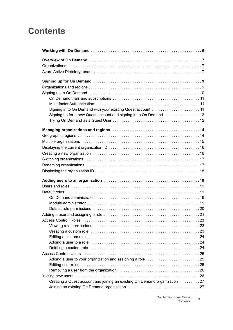## **Contents**

| Azure Active Directory tenants (and accommunity of the contract of the contract of 7                                                                                                                                               |
|------------------------------------------------------------------------------------------------------------------------------------------------------------------------------------------------------------------------------------|
|                                                                                                                                                                                                                                    |
|                                                                                                                                                                                                                                    |
|                                                                                                                                                                                                                                    |
|                                                                                                                                                                                                                                    |
|                                                                                                                                                                                                                                    |
| Signing in to On Demand with your existing Quest account  11                                                                                                                                                                       |
| Signing up for a new Quest account and signing in to On Demand 12                                                                                                                                                                  |
|                                                                                                                                                                                                                                    |
|                                                                                                                                                                                                                                    |
|                                                                                                                                                                                                                                    |
|                                                                                                                                                                                                                                    |
|                                                                                                                                                                                                                                    |
|                                                                                                                                                                                                                                    |
|                                                                                                                                                                                                                                    |
|                                                                                                                                                                                                                                    |
|                                                                                                                                                                                                                                    |
|                                                                                                                                                                                                                                    |
|                                                                                                                                                                                                                                    |
|                                                                                                                                                                                                                                    |
|                                                                                                                                                                                                                                    |
|                                                                                                                                                                                                                                    |
|                                                                                                                                                                                                                                    |
|                                                                                                                                                                                                                                    |
|                                                                                                                                                                                                                                    |
|                                                                                                                                                                                                                                    |
|                                                                                                                                                                                                                                    |
|                                                                                                                                                                                                                                    |
|                                                                                                                                                                                                                                    |
| Deleting a custom role <i>manual</i> contains the contract of the contact of the contact of the contact of the contact of the contact of the contact of the contact of the contact of the contact of the contact of the contact of |
|                                                                                                                                                                                                                                    |
| Adding a user to your organization and assigning a role <i></i> 25                                                                                                                                                                 |
| Editing user roles expansion of the contract of the contract of the contract of the contract of the contract of the contract of the contract of the contract of the contract of the contract of the contract of the contract o     |
|                                                                                                                                                                                                                                    |
| Inviting new users with the contract of the contract of the contract of the contract of the contract of the co                                                                                                                     |
| Creating a Quest account and joining an existing On Demand organization  27                                                                                                                                                        |
|                                                                                                                                                                                                                                    |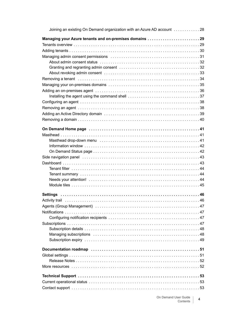| Joining an existing On Demand organization with an Azure AD account 28                                         |
|----------------------------------------------------------------------------------------------------------------|
| Managing your Azure tenants and on-premises domains 29                                                         |
|                                                                                                                |
|                                                                                                                |
|                                                                                                                |
|                                                                                                                |
|                                                                                                                |
|                                                                                                                |
|                                                                                                                |
|                                                                                                                |
|                                                                                                                |
|                                                                                                                |
|                                                                                                                |
|                                                                                                                |
|                                                                                                                |
|                                                                                                                |
|                                                                                                                |
|                                                                                                                |
|                                                                                                                |
|                                                                                                                |
|                                                                                                                |
|                                                                                                                |
|                                                                                                                |
|                                                                                                                |
|                                                                                                                |
|                                                                                                                |
|                                                                                                                |
|                                                                                                                |
|                                                                                                                |
|                                                                                                                |
| Activity trail experience to the contract of the contract of the contract of the contract of the contract of t |
|                                                                                                                |
|                                                                                                                |
|                                                                                                                |
|                                                                                                                |
|                                                                                                                |
|                                                                                                                |
|                                                                                                                |
|                                                                                                                |
|                                                                                                                |
|                                                                                                                |
|                                                                                                                |
|                                                                                                                |
|                                                                                                                |
|                                                                                                                |
|                                                                                                                |
|                                                                                                                |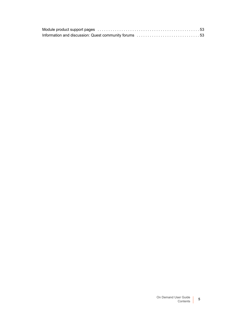| Information and discussion: Quest community forums 53 |  |
|-------------------------------------------------------|--|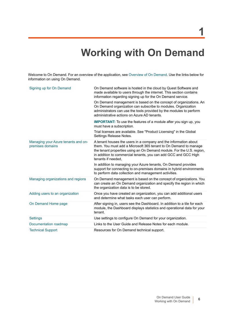# **Working with On Demand**

<span id="page-5-0"></span>Welcome to On Demand. For an overview of the application, see [Overview of On Demand.](#page-6-3) Use the links below for information on using On Demand.

| Signing up for On Demand                                | On Demand software is hosted in the cloud by Quest Software and<br>made available to users through the internet. This section contains<br>information regarding signing up for the On Demand service.                                                                                                  |
|---------------------------------------------------------|--------------------------------------------------------------------------------------------------------------------------------------------------------------------------------------------------------------------------------------------------------------------------------------------------------|
|                                                         | On Demand management is based on the concept of organizations. An<br>On Demand organization can subscribe to modules. Organization<br>administrators can use the tools provided by the modules to perform<br>administrative actions on Azure AD tenants.                                               |
|                                                         | <b>IMPORTANT:</b> To use the features of a module after you sign up, you<br>must have a subscription.                                                                                                                                                                                                  |
|                                                         | Trial licenses are available. See "Product Licensing" in the Global<br>Settings Release Notes.                                                                                                                                                                                                         |
| Managing your Azure tenants and on-<br>premises domains | A tenant houses the users in a company and the information about<br>them. You must add a Microsoft 365 tenant to On Demand to manage<br>the tenant properties using an On Demand module. For the U.S. region,<br>in addition to commercial tenants, you can add GCC and GCC High<br>tenants if needed. |
|                                                         | In addition to managing your Azure tenants, On Demand provides<br>support for connecting to on-premises domains in hybrid environments<br>to perform data collection and management activities.                                                                                                        |
| Managing organizations and regions                      | On Demand management is based on the concept of organizations. You<br>can create an On Demand organization and specify the region in which<br>the organization data is to be stored.                                                                                                                   |
| Adding users to an organization                         | Once you have created an organization, you can add additional users<br>and determine what tasks each user can perform.                                                                                                                                                                                 |
| On Demand Home page                                     | After signing in, users see the Dashboard. In addition to a tile for each<br>module, the Dashboard displays statistics and operational data for your<br>tenant.                                                                                                                                        |
| <b>Settings</b>                                         | Use settings to configure On Demand for your organization.                                                                                                                                                                                                                                             |
| Documentation roadmap                                   | Links to the User Guide and Release Notes for each module.                                                                                                                                                                                                                                             |
| <b>Technical Support</b>                                | Resources for On Demand technical support.                                                                                                                                                                                                                                                             |

**6**

**1**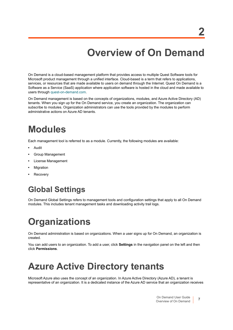**2**

<span id="page-6-3"></span><span id="page-6-0"></span>On Demand is a cloud-based management platform that provides access to multiple Quest Software tools for Microsoft product management through a unified interface. Cloud-based is a term that refers to applications, services, or resources that are made available to users on demand through the Internet. Quest On Demand is a Software as a Service (SaaS) application where application software is hosted in the cloud and made available to users through [quest-on-demand.com](https://quest-on-demand.com/#/landing).

On Demand management is based on the concepts of organizations, modules, and Azure Active Directory (AD) tenants. When you sign up for the On Demand service, you create an organization. The organization can subscribe to modules. Organization administrators can use the tools provided by the modules to perform administrative actions on Azure AD tenants.

# **Modules**

Each management tool is referred to as a module. Currently, the following modules are available:

- **•** Audit
- **•** Group Management
- **•** License Management
- **•** Migration
- **•** Recovery

## **Global Settings**

On Demand Global Settings refers to management tools and configuration settings that apply to all On Demand modules. This includes tenant management tasks and downloading activity trail logs.

# <span id="page-6-1"></span>**Organizations**

On Demand administration is based on organizations. When a user signs up for On Demand, an organization is created.

You can add users to an organization. To add a user, click **Settings** in the navigation panel on the left and then click **Permissions**.

# <span id="page-6-2"></span>**Azure Active Directory tenants**

Microsoft Azure also uses the concept of an organization. In Azure Active Directory (Azure AD), a tenant is representative of an organization. It is a dedicated instance of the Azure AD service that an organization receives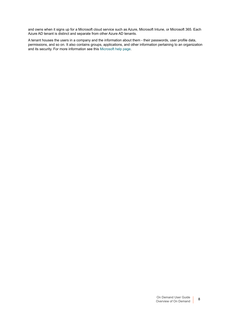and owns when it signs up for a Microsoft cloud service such as Azure, Microsoft Intune, or Microsoft 365. Each Azure AD tenant is distinct and separate from other Azure AD tenants.

A tenant houses the users in a company and the information about them - their passwords, user profile data, permissions, and so on. It also contains groups, applications, and other information pertaining to an organization and its security. For more information see this [Microsoft help page](https://docs.microsoft.com/en-gb/azure/active-directory/develop/quickstart-create-new-tenant).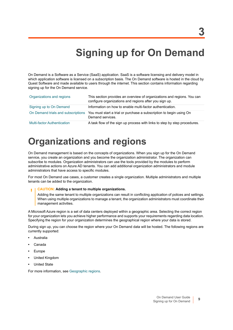# <span id="page-8-2"></span>**Signing up for On Demand**

<span id="page-8-0"></span>On Demand is a Software as a Service (SaaS) application. SaaS is a software licensing and delivery model in which application software is licensed on a subscription basis. The On Demand software is hosted in the cloud by Quest Software and made available to users through the internet. This section contains information regarding signing up for the On Demand service.

| Organizations and regions          | This section provides an overview of organizations and regions. You can<br>configure organizations and regions after you sign up. |
|------------------------------------|-----------------------------------------------------------------------------------------------------------------------------------|
| Signing up to On Demand            | Information on how to enable multi-factor authentication.                                                                         |
|                                    | On Demand trials and subscriptions You must start a trial or purchase a subscription to begin using On<br>Demand services.        |
| <b>Multi-factor Authentication</b> | A task flow of the sign up process with links to step by step procedures.                                                         |

# <span id="page-8-1"></span>**Organizations and regions**

On Demand management is based on the concepts of organizations. When you sign up for the On Demand service, you create an organization and you become the organization administrator. The organization can subscribe to modules. Organization administrators can use the tools provided by the modules to perform administrative actions on Azure AD tenants. You can add additional organization administrators and module administrators that have access to specific modules.

For most On Demand use cases, a customer creates a single organization. Multiple administrators and multiple tenants can be added to the organization.

#### **CAUTION: Adding a tenant to multiple organizations.** Ţ

Adding the same tenant to multiple organizations can result in conflicting application of polices and settings. When using multiple organizations to manage a tenant, the organization administrators must coordinate their management activities.

A Microsoft Azure region is a set of data centers deployed within a geographic area. Selecting the correct region for your organization lets you achieve higher performance and supports your requirements regarding data location. Specifying the region for your organization determines the geographical region where your data is stored.

During sign up, you can choose the region where your On Demand data will be hosted. The following regions are currently supported:

- **•** Australia
- **•** Canada
- **•** Europe
- **•** United Kingdom
- **•** United State

For more information, see [Geographic regions.](#page-13-3)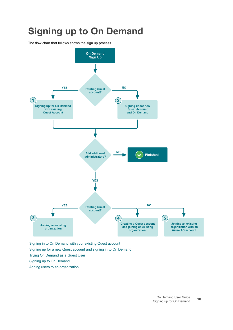# <span id="page-9-1"></span><span id="page-9-0"></span>**Signing up to On Demand**

The flow chart that follows shows the sign up process.

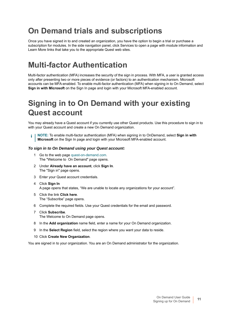## <span id="page-10-0"></span>**On Demand trials and subscriptions**

Once you have signed in to and created an organization, you have the option to begin a trial or purchase a subscription for modules. In the side navigation panel, click Services to open a page with module information and Learn More links that take you to the appropriate Quest web sites.

## <span id="page-10-1"></span>**Multi-factor Authentication**

Multi-factor authentication (MFA) increases the security of the sign in process. With MFA, a user is granted access only after presenting two or more pieces of evidence (or factors) to an authentication mechanism. Microsoft accounts can be MFA-enabled. To enable multi-factor authentication (MFA) when signing in to On Demand, select **Sign in with Microsoft** on the Sign In page and login with your Microsoft MFA-enabled account.

## <span id="page-10-2"></span>**Signing in to On Demand with your existing Quest account**

You may already have a Quest account if you currently use other Quest products. Use this procedure to sign in to with your Quest account and create a new On Demand organization.

**NOTE:** To enable multi-factor authentication (MFA) when signing in to OnDemand, select **Sign in with**  ÷ **Microsoft** on the Sign In page and login with your Microsoft MFA-enabled account.

### *To sign in to On Demand using your Quest account:*

- 1 Go to the web page [quest-on-demand.com.](http://www.quest-on-demand.com) The "Welcome to On Demand" page opens.
- 2 Under **Already have an account**, click **Sign In**. The "Sign in" page opens.
- 3 Enter your Quest account credentials.
- 4 Click **Sign In** A page opens that states, "We are unable to locate any organizations for your account".
- 5 Click the link **Click here**. The "Subscribe" page opens.
- 6 Complete the required fields. Use your Quest credentials for the email and password.
- 7 Click **Subscribe**. The Welcome to On Demand page opens.
- 8 In the **Add organization** name field, enter a name for your On Demand organization.
- 9 In the **Select Region** field, select the region where you want your data to reside.
- 10 Click **Create New Organization**.

You are signed in to your organization. You are an On Demand administrator for the organization.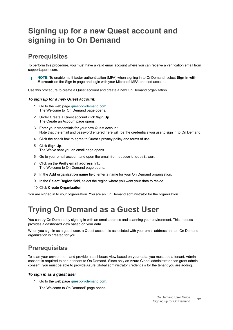## <span id="page-11-0"></span>**Signing up for a new Quest account and signing in to On Demand**

### **Prerequisites**

To perform this procedure, you must have a valid email account where you can receive a verification email from support.quest.com.

**NOTE:** To enable multi-factor authentication (MFA) when signing in to OnDemand, select **Sign in with**  f. **Microsoft** on the Sign In page and login with your Microsoft MFA-enabled account.

Use this procedure to create a Quest account and create a new On Demand organization.

### *To sign up for a new Quest account:*

- 1 Go to the web page [quest-on-demand.com.](http://www.quest-on-demand.com) The Welcome to On Demand page opens.
- 2 Under Create a Quest account click **Sign Up**. The Create an Account page opens.
- 3 Enter your credentials for your new Quest account. Note that the email and password entered here will. be the credentials you use to sign in to On Demand.
- 4 Click the check box to agree to Quest's privacy policy and terms of use.
- 5 Click **Sign Up**. The We've sent you an email page opens.
- 6 Go to your email account and open the email from support.quest.com.
- 7 Click on the **Verify email address** link. The Welcome to On Demand page opens.
- 8 In the **Add organization name** field, enter a name for your On Demand organization.
- 9 In the **Select Region** field, select the region where you want your data to reside.
- 10 Click **Create Organization**.

You are signed in to your organization. You are an On Demand administrator for the organization.

## <span id="page-11-1"></span>**Trying On Demand as a Guest User**

You can try On Demand by signing in with an email address and scanning your environment. This process provides a dashboard view based on your data.

When you sign in as a guest user, a Quest account is associated with your email address and an On Demand organization is created for you.

### **Prerequisites**

To scan your environment and provide a dashboard view based on your data, you must add a tenant. Admin consent is required to add a tenant to On Demand. Since only an Azure Global administrator can grant admin consent, you must be able to provide Azure Global administrator credentials for the tenant you are adding.

### *To sign in as a guest user*

1 Go to the web page [quest-on-demand.com.](http://www.quest-on-demand.com)

The Welcome to On Demand" page opens.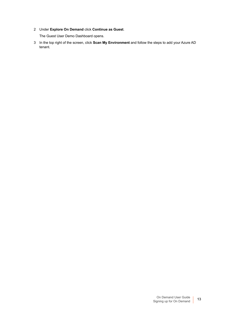2 Under **Explore On Demand** click **Continue as Guest**.

The Guest User Demo Dashboard opens.

3 In the top right of the screen, click **Scan My Environment** and follow the steps to add your Azure AD tenant.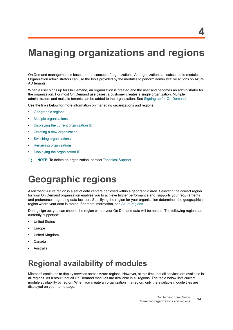# <span id="page-13-2"></span><span id="page-13-0"></span>**Managing organizations and regions**

On Demand management is based on the concept of organizations. An organization can subscribe to modules. Organization administrators can use the tools provided by the modules to perform administrative actions on Azure AD tenants.

When a user signs up for On Demand, an organization is created and the user and becomes an administrator for the organization. For most On Demand use cases, a customer creates a single organization. Multiple administrators and multiple tenants can be added to the organization. See [Signing up for On Demand.](#page-8-2)

Use the links below for more information on managing organizations and regions.

- **•** [Geographic regions](#page-13-1)
- **•** [Multiple organizations](#page-14-0)
- **•** [Displaying the current organization ID](#page-15-0)
- **•** [Creating a new organization](#page-15-1)
- **•** [Switching organizations](#page-16-0)
- **•** [Renaming organizations](#page-16-1)
- **•** [Displaying the organization ID](#page-17-0)
- **NOTE:** To delete an organization, contact [Technical Support.](#page-52-5)÷

# <span id="page-13-3"></span><span id="page-13-1"></span>**Geographic regions**

A Microsoft Azure region is a set of data centers deployed within a geographic area. Selecting the correct region for your On Demand organization enables you to achieve higher performance and supports your requirements and preferences regarding data location. Specifying the region for your organization determines the geographical region where your data is stored. For more information, see [Azure regions.](https://azure.microsoft.com/en-ca/global-infrastructure/regions/)

During sign up, you can choose the region where your On Demand data will be hosted. The following regions are currently supported:

- **•** United States
- **•** Europe
- **•** United Kingdom
- **•** Canada
- **•** Australia

## **Regional availability of modules**

Microsoft continues to deploy services across Azure regions. However, at this time, not all services are available in all regions. As a result, not all On Demand modules are available in all regions. The table below lists current module availability by region. When you create an organization in a region, only the available module tiles are displayed on your home page.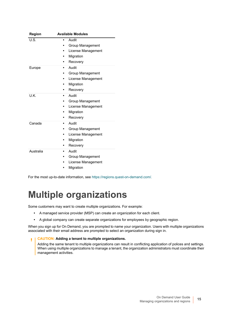| Region    | <b>Available Modules</b>                                                              |
|-----------|---------------------------------------------------------------------------------------|
| U.S.      | Audit<br>Group Management<br>License Management<br>٠<br>Migration<br>Recovery         |
| Europe    | Audit<br>$\bullet$<br>Group Management<br>License Management<br>Migration<br>Recovery |
| U.K.      | Audit<br>٠<br>Group Management<br>License Management<br>٠<br>Migration<br>Recovery    |
| Canada    | Audit<br>٠<br>Group Management<br>License Management<br>Migration<br>Recovery         |
| Australia | Audit<br>$\bullet$<br>Group Management<br>License Management<br>Migration             |

For the most up-to-date information, see [https://regions.quest-on-demand.com/.](https://regions.quest-on-demand.com/)

# <span id="page-14-0"></span>**Multiple organizations**

Some customers may want to create multiple organizations. For example:

- **•** A managed service provider (MSP) can create an organization for each client.
- **•** A global company can create separate organizations for employees by geographic region.

When you sign up for On Demand, you are prompted to name your organization. Users with multiple organizations associated with their email address are prompted to select an organization during sign in.

#### **CAUTION: Adding a tenant to multiple organizations.** f,

Adding the same tenant to multiple organizations can result in conflicting application of polices and settings. When using multiple organizations to manage a tenant, the organization administrators must coordinate their management activities.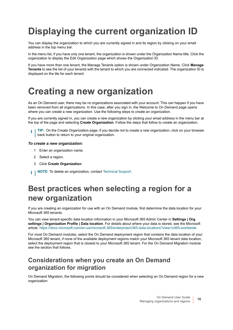# <span id="page-15-0"></span>**Displaying the current organization ID**

You can display the organization to which you are currently signed in and its region by clicking on your email address in the top menu bar.

In the menu list, if you have only one tenant, the organization is shown under the Organization Name title. Click the organization to display the Edit Organization page which shows the Organization ID.

If you have more than one tenant, the Manage Tenants option is shown under Organization Name. Click **Manage Tenants** to see the list of your tenants with the tenant to which you are connected indicated. The organization ID is displayed on the tile for each tenant.

# <span id="page-15-1"></span>**Creating a new organization**

As an On Demand user, there may be no organizations associated with your account. This can happen if you have been removed from all organizations. In this case, after you sign in, the Welcome to On Demand page opens where you can create a new organization. Use the following steps to create an organization.

If you are currently signed in, you can create a new organization by clicking your email address in the menu bar at the top of the page and selecting **Create Organization**. Follow the steps that follow to create an organization.

<sup>1</sup> | TIP: On the Create Organization page, if you decide not to create a new organization, click on your browser back button to return to your original organization.

### *To create a new organization:*

- 1 Enter an organization name.
- 2 Select a region.
- 3 Click **Create Organization**.
- **i** | NOTE: To delete an organization, contact [Technical Support.](#page-52-5)

## **Best practices when selecting a region for a new organization**

If you are creating an organization for use with an On Demand module, first determine the data location for your Microsoft 365 tenants.

You can view tenant-specific data location information in your Microsoft 365 Admin Center in **Settings | Org settings | Organization Profile | Data location**[. For details about where your data is stored, see the Microsoft](https://docs.microsoft.com/en-us/microsoft-365/enterprise/o365-data-locations?view=o365-worldwide)  [article: h](https://docs.microsoft.com/en-us/microsoft-365/enterprise/o365-data-locations?view=o365-worldwide)ttps://docs.microsoft.com/en-us/microsoft-365/enterprise/o365-data-locations?view=o365-worldwide

For most On Demand modules, select the On Demand deployment region that contains the data location of your Microsoft 365 tenant, if none of the available deployment regions match your Microsoft 365 tenant data location, select the deployment region that is closest to your Microsoft 365 tenant. For the On Demand Migration module see the section that follows.

### **Considerations when you create an On Demand organization for migration**

On Demand Migration, the following points should be considered when selecting an On Demand region for a new organization: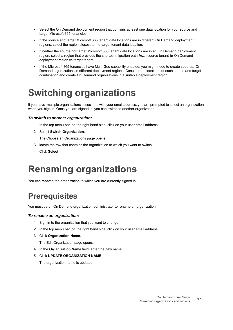- **•** Select the On Demand deployment region that contains at least one data location for your source and target Microsoft 365 tenancies.
- **•** If the source and target Microsoft 365 tenant data locations are in different On Demand deployment regions, select the region closest to the target tenant data location.
- **•** If neither the source nor target Microsoft 365 tenant data locations are in an On Demand deployment region, select a region that provides the shortest migration path *from* source tenant *to* On Demand deployment region *to* target tenant.
- **•** If the Microsoft 365 tenancies have Multi-Geo capability enabled, you might need to create separate On Demand organizations in different deployment regions. Consider the locations of each source and target combination and create On Demand organizations in a suitable deployment region.

# <span id="page-16-0"></span>**Switching organizations**

If you have multiple organizations associated with your email address, you are prompted to select an organization when you sign in. Once you are signed in, you can switch to another organization.

### *To switch to another organization:*

- 1 In the top menu bar, on the right hand side, click on your user email address.
- 2 Select **Switch Organization**.

The Choose an Organizations page opens.

- 3 locate the row that contains the organization to which you want to switch.
- 4 Click **Select**.

# <span id="page-16-1"></span>**Renaming organizations**

You can rename the organization to which you are currently signed in.

## **Prerequisites**

You must be an On Demand organization administrator to rename an organization.

### *To rename an organization:*

- 1 Sign in to the organization that you want to change.
- 2 In the top menu bar, on the right hand side, click on your user email address.
- 3 Click **Organization Name**.

The Edit Organization page opens.

- 4 In the **Organization Name** field, enter the new name.
- 5 Click **UPDATE ORGANIZATION NAME.**

The organization name is updated.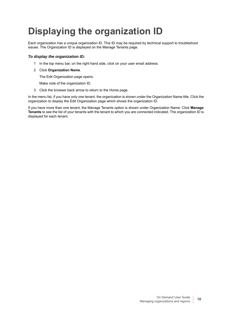# <span id="page-17-0"></span>**Displaying the organization ID**

Each organization has a unique organization ID. This ID may be required by technical support to troubleshoot issues. The Organization ID is displayed on the Manage Tenants page.

### *To display the organization ID:*

- 1 In the top menu bar, on the right hand side, click on your user email address.
- 2 Click **Organization Name**.

The Edit Organization page opens.

Make note of the organization ID.

3 Click the browser back arrow to return to the Home page.

In the menu list, if you have only one tenant, the organization is shown under the Organization Name title. Click the organization to display the Edit Organization page which shows the organization ID.

If you have more than one tenant, the Manage Tenants option is shown under Organization Name. Click **Manage Tenants** to see the list of your tenants with the tenant to which you are connected indicated. The organization ID is displayed for each tenant.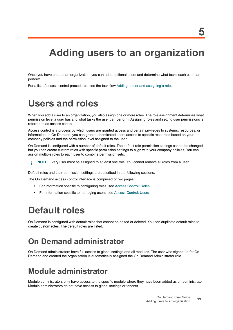<span id="page-18-5"></span><span id="page-18-0"></span>Once you have created an organization, you can add additional users and determine what tasks each user can perform.

For a list of access control procedures, see the task flow [Adding a user and assigning a role.](#page-20-0)

# <span id="page-18-1"></span>**Users and roles**

When you add a user to an organization, you also assign one or more roles. The role assignment determines what permission level a user has and what tasks the user can perform. Assigning roles and setting user permissions is referred to as access control.

Access control is a process by which users are granted access and certain privileges to systems, resources, or information. In On Demand, you can grant authenticated users access to specific resources based on your company policies and the permission level assigned to the user.

On Demand is configured with a number of default roles. The default role permission settings cannot be changed, but you can create custom roles with specific permission settings to align with your company policies. You can assign multiple roles to each user to combine permission sets.

**NOTE:** Every user must be assigned to at least one role. You cannot remove all roles from a user.i I

Default roles and their permission settings are described in the following sections.

The On Demand access control interface is comprised of two pages.

- **•** For information specific to configuring roles, see [Access Control: Roles](#page-22-0)
- **•** For information specific to managing users, see [Access Control: Users](#page-24-0)

# <span id="page-18-2"></span>**Default roles**

On Demand is configured with default roles that cannot be edited or deleted. You can duplicate default roles to create custom roles. The default roles are listed.

## <span id="page-18-3"></span>**On Demand administrator**

On Demand administrators have full access to global settings and all modules. The user who signed up for On Demand and created the organization is automatically assigned the On Demand Administrator role.

## <span id="page-18-4"></span>**Module administrator**

Module administrators only have access to the specific module where they have been added as an administrator. Module administrators do not have access to global settings or tenants.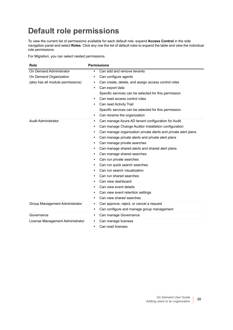## <span id="page-19-0"></span>**Default role permissions**

To view the current list of permissions available for each default role, expand **Access Control** in the side navigation panel and select **Roles**. Click any row the list of default roles to expand the table and view the individual role permissions.

For Migration, you can select nested permissions.

| Role                              | <b>Permissions</b>                                                          |
|-----------------------------------|-----------------------------------------------------------------------------|
| On Demand Administrator           | Can add and remove tenants                                                  |
| On Demand Organization            | Can configure agents<br>٠                                                   |
| (also has all module permissions) | Can create, delete, and assign access control roles<br>٠                    |
|                                   | Can export data<br>$\bullet$                                                |
|                                   | Specific services can be selected for this permission                       |
|                                   | Can read access control roles<br>$\bullet$                                  |
|                                   | Can read Activity Trail                                                     |
|                                   | Specific services can be selected for this permission.                      |
|                                   | Can rename the organization<br>$\bullet$                                    |
| <b>Audit Administrator</b>        | Can manage Azure AD tenant configuration for Audit<br>$\bullet$             |
|                                   | Can manage Change Auditor installation configuration<br>٠                   |
|                                   | Can manage organization private alerts and private alert plans<br>$\bullet$ |
|                                   | Can manage private alerts and private alert plans<br>$\bullet$              |
|                                   | Can manage private searches<br>$\bullet$                                    |
|                                   | Can manage shared alerts and shared alert plans<br>$\bullet$                |
|                                   | Can manage shared searches<br>$\bullet$                                     |
|                                   | Can run private searches<br>$\bullet$                                       |
|                                   | Can run quick search searches<br>$\bullet$                                  |
|                                   | Can run search visualization                                                |
|                                   | Can run shared searches                                                     |
|                                   | Can view dashboard<br>$\bullet$                                             |
|                                   | Can view event details<br>$\bullet$                                         |
|                                   | Can view event retention settings<br>٠                                      |
|                                   | Can view shared searches<br>٠                                               |
| Group Management Administrator    | Can approve, reject, or cancel a request<br>$\bullet$                       |
|                                   | Can configure and manage group management<br>$\bullet$                      |
| Governance                        | Can manage Governance<br>$\bullet$                                          |
| License Management Administrator  | Can manage licenses<br>$\bullet$                                            |
|                                   | Can read licenses<br>$\bullet$                                              |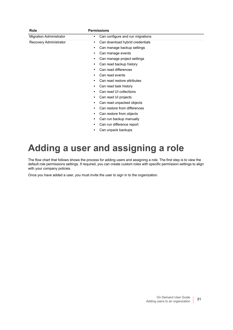| <b>Role</b>                    | <b>Permissions</b>                    |
|--------------------------------|---------------------------------------|
| <b>Migration Administrator</b> | Can configure and run migrations<br>٠ |
| Recovery Administrator         | Can download hybrid credentials<br>٠  |
|                                | Can manage backup settings<br>٠       |
|                                | Can manage events<br>٠                |
|                                | Can manage project settings           |
|                                | Can read backup history               |
|                                | Can read differences                  |
|                                | Can read events<br>٠                  |
|                                | Can read restore attributes           |
|                                | Can read task history                 |
|                                | Can read UI collections               |
|                                | Can read UI projects                  |
|                                | Can read unpacked objects             |
|                                | Can restore from differences          |
|                                | Can restore from objects              |
|                                | Can run backup manually               |
|                                | Can run difference report             |
|                                | Can unpack backups                    |

# <span id="page-20-0"></span>**Adding a user and assigning a role**

The flow chart that follows shows the process for adding users and assigning a role. The first step is to view the default role permissions settings. If required, you can create custom roles with specific permission settings to align with your company policies.

Once you have added a user, you must invite the user to sign in to the organization.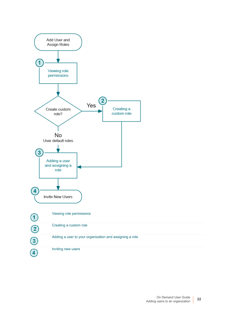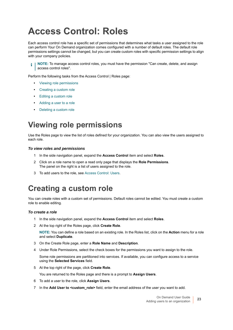# <span id="page-22-0"></span>**Access Control: Roles**

Each access control role has a specific set of permissions that determines what tasks a user assigned to the role can perform Your On Demand organization comes configured with a number of default roles. The default role permissions settings cannot be changed, but you can create custom roles with specific permission settings to align with your company policies.

**NOTE:** To manage access control roles, you must have the permission "Can create, delete, and assign i access control roles".

Perform the following tasks from the Access Control | Roles page:

- **•** [Viewing role permissions](#page-22-1)
- **•** [Creating a custom role](#page-22-2)
- **•** [Editing a custom role](#page-23-0)
- **•** [Adding a user to a role](#page-23-1)
- **•** [Deleting a custom role](#page-23-2)

## <span id="page-22-1"></span>**Viewing role permissions**

Use the Roles page to view the list of roles defined for your organization. You can also view the users assigned to each role.

### *To view roles and permissions*

- 1 In the side navigation panel, expand the **Access Control** item and select **Roles**.
- 2 Click on a role name to open a read only page that displays the **Role Permissions**. The panel on the right is a list of users assigned to the role.
- 3 To add users to the role, see [Access Control: Users.](#page-24-0)

### <span id="page-22-2"></span>**Creating a custom role**

You can create roles with a custom set of permissions. Default roles cannot be edited. You must create a custom role to enable editing.

### *To create a role*

- 1 In the side navigation panel, expand the **Access Control** item and select **Roles**.
- 2 At the top right of the Roles page, click **Create Role**.

**NOTE:** You can define a role based on an existing role. In the Roles list, click on the **Action** menu for a role and select **Duplicate**.

- 3 On the Create Role page, enter a **Role Name** and **Description**.
- 4 Under Role Permissions, select the check boxes for the permissions you want to assign to the role.

Some role permissions are partitioned into services. If available, you can configure access to a service using the **Selected Services** field.

- 5 At the top right of the page, click **Create Role**.
	- You are returned to the Roles page and there is a prompt to **Assign Users**.
- 6 To add a user to the role, click **Assign Users**.
- 7 In the **Add User to <custom\_role>** field, enter the email address of the user you want to add.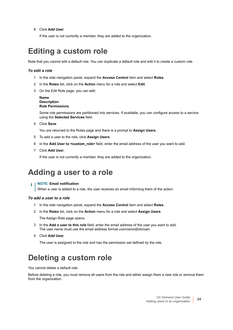8 Click **Add User**.

If the user is not currently a member, they are added to the organization.

## <span id="page-23-0"></span>**Editing a custom role**

Note that you cannot edit a default role. You can duplicate a default role and edit it to create a custom role.

### *To edit a role*

- 1 In the side navigation panel, expand the **Access Control** item and select **Roles**.
- 2 In the **Roles** list, click on the **Action** menu for a role and select **Edit**.
- 3 On the Edit Role page. you can edit:

#### **Name Description Role Permissions**.

Some role permissions are partitioned into services. If available, you can configure access to a service using the **Selected Services** field.

4 Click **Save**.

You are returned to the Roles page and there is a prompt to **Assign Users**.

- 5 To add a user to the role, click **Assign Users**.
- 6 In the **Add User to <custom\_role>** field, enter the email address of the user you want to add.
- 7 Click **Add User**.

If the user is not currently a member, they are added to the organization.

## <span id="page-23-1"></span>**Adding a user to a role**

### **NOTE: Email notification**

When a user is added to a role, the user receives an email informing them of the action.

#### *To add a user to a role*

- 1 In the side navigation panel, expand the **Access Control** item and select **Roles**.
- 2 In the **Roles** list, click on the **Action** menu for a role and select **Assign Users**.

The Assign Role page opens.

- 3 In the **Add a user to this role** field, enter the email address of the user you want to add. The user name must use the email address format *username@domain.*
- 4 Click **Add User**.

The user is assigned to the role and has the permission set defined by the role.

## <span id="page-23-2"></span>**Deleting a custom role**

You cannot delete a default role.

Before deleting a role, you must remove all users from the role and either assign them a new role or remove them from the organization.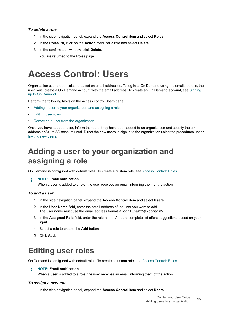### *To delete a role*

- 1 In the side navigation panel, expand the **Access Control** item and select **Roles**.
- 2 In the **Roles** list, click on the **Action** menu for a role and select **Delete**.
- 3 In the confirmation window, click **Delete**.

You are returned to the Roles page.

# <span id="page-24-0"></span>**Access Control: Users**

Organization user credentials are based on email addresses. To log in to On Demand using the email address, the user must create a On Demand account with the email address. To create an On Demand account, see [Signing](#page-9-1)  [up to On Demand.](#page-9-1)

Perform the following tasks on the access control Users page:

- **•** [Adding a user to your organization and assigning a role](#page-24-1)
- **•** [Editing user roles](#page-24-2)
- **•** [Removing a user from the organization](#page-25-0)

Once you have added a user, inform them that they have been added to an organization and specify the email address or Azure AD account used. Direct the new users to sign in to the organization using the procedures under [Inviting new users.](#page-25-1)

## <span id="page-24-1"></span>**Adding a user to your organization and assigning a role**

On Demand is configured with default roles. To create a custom role, see [Access Control: Roles](#page-22-0).

### **NOTE: Email notification**

When a user is added to a role, the user receives an email informing them of the action.

#### *To add a user*

- 1 In the side navigation panel, expand the **Access Control** item and select **Users**.
- 2 In the **User Name** field, enter the email address of the user you want to add. The user name must use the email address format <local part>@<domain>.
- 3 In the **Assigned Role** field, enter the role name. An auto-complete list offers suggestions based on your input.
- 4 Select a role to enable the **Add** button.
- 5 Click **Add**.

## <span id="page-24-2"></span>**Editing user roles**

On Demand is configured with default roles. To create a custom role, see [Access Control: Roles](#page-22-0).

#### **NOTE: Email notification** ÷

When a user is added to a role, the user receives an email informing them of the action.

#### *To assign a new role*

1 In the side navigation panel, expand the **Access Control** item and select **Users**.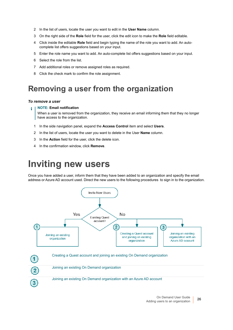- 2 In the list of users, locate the user you want to edit in the **User Name** column.
- 3 On the right side of the **Role** field for the user, click the edit icon to make the **Role** field editable.
- 4 Click inside the editable **Role** field and begin typing the name of the role you want to add. An autocomplete list offers suggestions based on your input.
- 5 Enter the role name you want to add. An auto-complete list offers suggestions based on your input.
- 6 Select the role from the list.
- 7 Add additional roles or remove assigned roles as required.
- 8 Click the check mark to confirm the role assignment.

## <span id="page-25-0"></span>**Removing a user from the organization**

### *To remove a user*

### **NOTE: Email notification**

When a user is removed from the organization, they receive an email informing them that they no longer have access to the organization.

- 1 In the side navigation panel, expand the **Access Control** item and select **Users**.
- 2 In the list of users, locate the user you want to delete in the User **Name** column.
- 3 In the **Action** field for the user, click the delete icon.
- 4 In the confirmation window, click **Remove**.

## <span id="page-25-1"></span>**Inviting new users**

Once you have added a user, inform them that they have been added to an organization and specify the email address or Azure AD account used. Direct the new users to the following procedures to sign in to the organization.

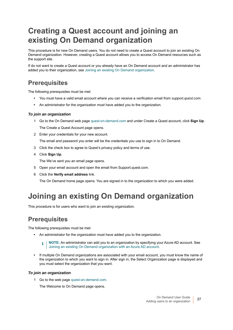## <span id="page-26-0"></span>**Creating a Quest account and joining an existing On Demand organization**

This procedure is for new On Demand users. You do not need to create a Quest account to join an existing On Demand organization. However, creating a Quest account allows you to access On Demand resources such as the support site.

If do not want to create a Quest account or you already have an On Demand account and an administrator has added you to their organization, see [Joining an existing On Demand organization.](#page-26-1)

### **Prerequisites**

The following prerequisites must be met:

- **•** You must have a valid email account where you can receive a verification email from *support.quest.com*.
- **•** An administrator for the organization must have added you to the organization.

### *To join an organization*

- 1 Go to the On Demand web page [quest-on-demand.com](http://www.quest-on-demand.com) and under Create a Quest account, click **Sign Up**. The Create a Quest Account page opens.
- 2 Enter your credentials for your new account.

The email and password you enter will be the credentials you use to sign in to On Demand.

- 3 Click the check box to agree to Quest's privacy policy and terms of use.
- 4 Click **Sign Up**.

The We've sent you an email page opens.

- 5 Open your email account and open the email from Support.quest.com.
- 6 Click the **Verify email address** link.

The On Demand home page opens. You are signed in to the organization to which you were added.

## <span id="page-26-1"></span>**Joining an existing On Demand organization**

This procedure is for users who want to join an existing organization.

### **Prerequisites**

The following prerequisites must be met:

- **•** An administrator for the organization must have added you to the organization.
	- **i** | NOTE: An administrator can add you to an organization by specifying your Azure AD account. See [Joining an existing On Demand organization with an Azure AD account](#page-27-0).
- **•** If multiple On Demand organizations are associated with your email account, you must know the name of the organization to which you want to sign in. After sign in, the Select Organization page is displayed and you must select the organization that you want.

### *To join an organization*

1 Go to the web page [quest-on-demand.com.](http://www.quest-on-demand.com)

The Welcome to On Demand page opens.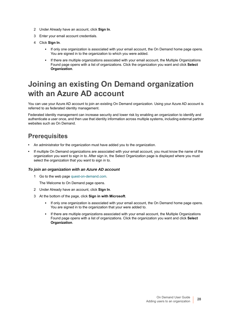- 2 Under Already have an account, click **Sign In**.
- 3 Enter your email account credentials.
- 4 Click **Sign In**.
	- **▪** If only one organization is associated with your email account, the On Demand home page opens. You are signed in to the organization to which you were added.
	- **▪** If there are multiple organizations associated with your email account, the Multiple Organizations Found page opens with a list of organizations. Click the organization you want and click **Select Organization**.

## <span id="page-27-0"></span>**Joining an existing On Demand organization with an Azure AD account**

You can use your Azure AD account to join an existing On Demand organization. Using your Azure AD account is referred to as federated identity management.

Federated identity management can increase security and lower risk by enabling an organization to identify and authenticate a user once, and then use that identity information across multiple systems, including external partner websites such as On Demand.

### **Prerequisites**

- **•** An administrator for the organization must have added you to the organization.
- **•** If multiple On Demand organizations are associated with your email account, you must know the name of the organization you want to sign in to. After sign in, the Select Organization page is displayed where you must select the organization that you want to sign in to.

### *To join an organization with an Azure AD account*

1 Go to the web page [quest-on-demand.com.](http://www.quest-on-demand.com)

The Welcome to On Demand page opens.

- 2 Under Already have an account, click **Sign In**.
- 3 At the bottom of the page, click **Sign in with Microsoft**.
	- **▪** If only one organization is associated with your email account, the On Demand home page opens. You are signed in to the organization that your were added to.
	- **▪** If there are multiple organizations associated with your email account, the Multiple Organizations Found page opens with a list of organizations. Click the organization you want and click **Select Organization**.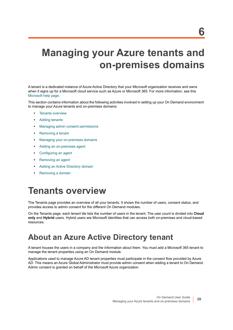# <span id="page-28-2"></span><span id="page-28-0"></span>**Managing your Azure tenants and on-premises domains**

A tenant is a dedicated instance of Azure Active Directory that your Microsoft organization receives and owns when it signs up for a Microsoft cloud service such as Azure or Microsoft 365. For more information, see this [Microsoft help page](https://docs.microsoft.com/en-us/previous-versions/azure/azure-services/jj573650(v=azure.100)?redirectedfrom=MSDN).

This section contains information about the following activities involved in setting up your On Demand environment to manage your Azure tenants and on-premises domains:

- **•** [Tenants overview](#page-28-1)
- **•** [Adding tenants](#page-29-0)
- **•** [Managing admin consent permissions](#page-30-0)
- **•** [Removing a tenant](#page-33-0)
- **•** [Managing your on-premises domains](#page-34-0)
- **•** [Adding an on-premises agent](#page-35-0)
- **•** [Configuring an agent](#page-37-0)
- **•** [Removing an agent](#page-37-1)
- **•** [Adding an Active Directory domain](#page-38-0)
- **•** [Removing a domain](#page-39-0)

## <span id="page-28-1"></span>**Tenants overview**

The Tenants page provides an overview of all your tenants. It shows the number of users, consent status, and provides access to admin consent for the different On Demand modules.

On the Tenants page, each tenant tile lists the number of users in the tenant. The user count is divided into **Cloud only** and **Hybrid** users. Hybrid users are Microsoft identities that can access both on-premises and cloud-based resources.

## **About an Azure Active Directory tenant**

A tenant houses the users in a company and the information about them. You must add a Microsoft 365 tenant to manage the tenant properties using an On Demand module.

Applications used to manage Azure AD tenant properties must participate in the consent flow provided by Azure AD. This means an Azure Global Administrator must provide admin consent when adding a tenant to On Demand. Admin consent is granted on behalf of the Microsoft Azure organization.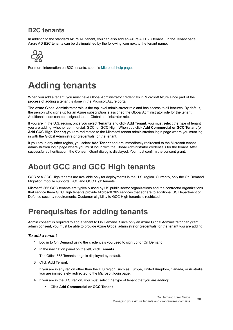### **B2C tenants**

In addition to the standard Azure AD tenant, you can also add an Azure AD B2C tenant. On the Tenant page, Azure AD B2C tenants can be distinguished by the following icon next to the tenant name:



For more information on B2C tenants, see this [Microsoft help page.](https://azure.microsoft.com/en-ca/services/active-directory-b2c/)

# <span id="page-29-0"></span>**Adding tenants**

When you add a tenant, you must have Global Administrator credentials in Microsoft Azure since part of the process of adding a tenant is done in the Microsoft Azure portal.

The Azure Global Administrator role is the top level administrator role and has access to all features. By default, the person who signs up for an Azure subscription is assigned the Global Administrator role for the tenant. Additional users can be assigned to the Global administrator role.

If you are in the U.S. region, once you select **Tenants** and click **Add Tenant**, you must select the type of tenant you are adding, whether commercial, GCC, or GCC High. When you click **Add Commercial or GCC Tenant** (or **Add GCC High Tenant**) you are redirected to the Microsoft tenant administration login page where you must log in with the Global Administrator credentials for the tenant.

If you are in any other region, you select **Add Tenant** and are immediately redirected to the Microsoft tenant administration login page where you must log in with the Global Administrator credentials for the tenant. After successful authentication, the Consent Grant dialog is displayed. You must confirm the consent grant.

## **About GCC and GCC High tenants**

GCC or a GCC High tenants are available only for deployments in the U.S. region. Currently, only the On Demand Migration module supports GCC and GCC High tenants.

Microsoft 365 GCC tenants are typically used by US public sector organizations and the contractor organizations that service them.GCC High tenants provide Microsoft 365 services that adhere to additional US Department of Defense security requirements. Customer eligibility to GCC High tenants is restricted.

## **Prerequisites for adding tenants**

Admin consent is required to add a tenant to On Demand. Since only an Azure Global Administrator can grant admin consent, you must be able to provide Azure Global administrator credentials for the tenant you are adding.

### *To add a tenant*

- 1 Log in to On Demand using the credentials you used to sign up for On Demand.
- 2 In the navigation panel on the left, click **Tenants**.

The Office 365 Tenants page is displayed by default.

3 Click **Add Tenant**.

If you are in any region other than the U.S region, such as Europe, United Kingdom, Canada, or Australia, you are immediately redirected to the Microsoft login page.

- 4 If you are in the U.S. region, you must select the type of tenant that you are adding:
	- **▪** Click **Add Commercial or GCC Tenant**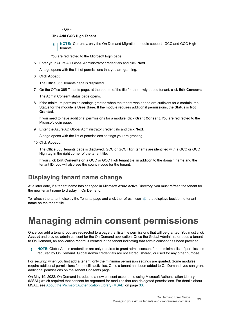$-$  OR  $-$ 

#### Click **Add GCC High Tenant**

**NOTE:** Currently, only the On Demand Migration module supports GCC and GCC High tenants.

You are redirected to the Microsoft login page.

5 Enter your Azure AD Global Administrator credentials and click **Next**.

A page opens with the list of permissions that you are granting.

6 Click **Accept**.

The Office 365 Tenants page is displayed.

7 On the Office 365 Tenants page, at the bottom of the tile for the newly added tenant, click **Edit Consents**.

The Admin Consent status page opens.

8 If the minimum permission settings granted when the tenant was added are sufficient for a module, the Status for the module is **Uses Base**. If the module requires additional permissions, the **Status** is **Not Granted**.

If you need to have additional permissions for a module, click **Grant Consent.** You are redirected to the Microsoft login page.

9 Enter the Azure AD Global Administrator credentials and click **Next**.

A page opens with the list of permissions settings you are granting.

10 Click **Accept**.

The Office 365 Tenants page is displayed. GCC or GCC High tenants are identified with a GCC or GCC High tag in the right corner of the tenant tile.

If you click **Edit Consents** on a GCC or GCC High tenant tile, in addition to the domain name and the tenant ID, you will also see the country code for the tenant.

### **Displaying tenant name change**

At a later date, if a tenant name has changed in Microsoft Azure Active Directory, you must refresh the tenant for the new tenant name to display in On Demand.

To refresh the tenant, display the Tenants page and click the refresh icon  $\oint$  that displays beside the tenant name on the tenant tile.

# <span id="page-30-0"></span>**Managing admin consent permissions**

Once you add a tenant, you are redirected to a page that lists the permissions that will be granted. You must click **Accept** and provide admin consent for the On Demand application. Once the Global Administrator adds a tenant to On Demand, an application record is created in the tenant indicating that admin consent has been provided.

**i** | NOTE: Global Admin credentials are only required to grant admin consent for the minimal list of permissions required by On Demand. Global Admin credentials are not stored, shared, or used for any other purpose.

For security, when you first add a tenant, only the minimum permission settings are granted. Some modules require additional permissions for specific activities. Once a tenant has been added to On Demand, you can grant additional permissions on the Tenant Consents page.

On May 19, 2022, On Demand introduced a new consent experience using Microsoft Authentication Library (MSAL) which required that consent be regranted for modules that use delegated permissions. For details about MSAL, see [About the Microsoft Authentication Library \(MSAL\) on page 33](#page-32-1).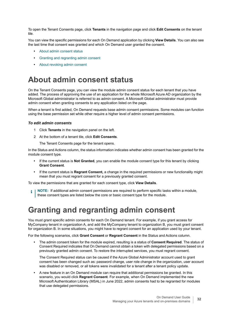To open the Tenant Consents page, click **Tenants** in the navigation page and click **Edit Consents** on the tenant tile.

You can view the specific permissions for each On Demand application by clicking **View Details**. You can also see the last time that consent was granted and which On Demand user granted the consent.

- **•** [About admin consent status](#page-31-0)
- **•** [Granting and regranting admin consent](#page-31-1)
- **•** [About revoking admin consent](#page-32-0)

## <span id="page-31-0"></span>**About admin consent status**

On the Tenant Consents page, you can view the module admin consent status for each tenant that you have added. The process of approving the use of an application for the whole Microsoft Azure AD organization by the Microsoft Global administrator is referred to as admin consent. A Microsoft Global administrator must provide admin consent when granting consents to any application listed on the page.

When a tenant is first added, On Demand requests base admin consent permissions. Some modules can function using the base permission set while other require a higher level of admin consent permissions.

### *To edit admin consents*

- 1 Click **Tenants** in the navigation panel on the left.
- 2 At the bottom of a tenant tile, click **Edit Consents**.
	- The Tenant Consents page for the tenant opens.

In the Status and Actions column, the status information indicates whether admin consent has been granted for the module consent type.

- **•** If the current status is **Not Granted**, you can enable the module consent type for this tenant by clicking **Grant Consent**.
- **•** If the current status is **Regrant Consent,** a change in the required permissions or new functionality might mean that you must regrant consent for a previously granted consent.

To view the permissions that are granted for each consent type, click **View Details**.

**NOTE:** If additional admin consent permissions are required to perform specific tasks within a module, ÷ these consent types are listed below the core or basic consent type for the module.

## <span id="page-31-1"></span>**Granting and regranting admin consent**

You must grant specific admin consents for each On Demand tenant. For example, if you grant access for MyCompany tenant in organization A, and add the MyCompany tenant to organization B, you must grant consent for organization B. In some situations, you might have to regrant consent for an application used by your tenant.

For the following scenarios, click **Grant Consent** or **Regrant Consent** in the Status and Actions column.

**•** The admin consent token for the module expired, resulting is a status of **Consent Required**. The status of Consent Required indicates that On Demand cannot obtain a token with delegated permissions based on a previously granted admin consent. To restore the interrupted services, you must regrant consent.

The Consent Required status can be caused if the Azure Global Administrator account used to grant consent has been changed such as: password change, user role change in the organization, user account was disabled or removed, or all tokens were invalidated for a tenant after a tenant policy update.

**•** A new feature in an On Demand module can require that additional permissions be granted. In this scenario, you would click **Regrant Consent**. For example, when On Demand implemented the new Microsoft Authentication Library (MSAL) in June 2022, admin consents had to be regranted for modules that use delegated permissions.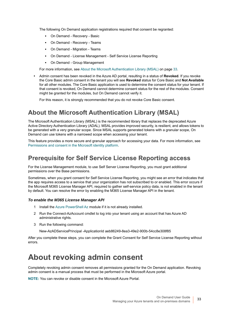The following On Demand application registrations required that consent be regranted:

- **On Demand Recovery Basic**
- **▪** On Demand Recovery Teams
- **▪** On Demand Migration Teams
- **On Demand License Management Self Service License Reporting**
- **▪** On Demand Group Management

For more information, see [About the Microsoft Authentication Library \(MSAL\) on page 33.](#page-32-1)

**•** Admin consent has been revoked in the Azure AD portal, resulting in a status of **Revoked**. If you revoke the Core Basic admin consent in the tenant you will see **Revoked** status for Core Basic and **Not Available** for all other modules. The Core Basic application is used to determine the consent status for your tenant. If that consent is revoked, On Demand cannot determine consent status for the rest of the modules. Consent might be granted for the modules, but On Demand cannot verify it.

For this reason, it is strongly recommended that you do not revoke Core Basic consent.

### <span id="page-32-1"></span>**About the Microsoft Authentication Library (MSAL)**

The Microsoft Authentication Library (MSAL) is the recommended library that replaces the deprecated Azure Active Directory Authentication Library (ADAL). MSAL provides improved security, is resilient, and allows tokens to be generated with a very granular scope. Since MSAL supports generated tokens with a granular scope, On Demand can use tokens with a narrowed scope when accessing your tenant.

This feature provides a more secure and granular approach for accessing your data. For more information, see [Permissions and consent in the Microsoft identity platform.](https://docs.microsoft.com/en-us/azure/active-directory/develop/v2-permissions-and-consent)

### **Prerequisite for Self Service License Reporting access**

For the License Management module, to use Self Server License Reporting, you must grant additional permissions over the Base permissions.

Sometimes, when you grant consent for Self Service License Reporting, you might see an error that indicates that the app requires access to a service that your organization has not subscribed to or enabled. This error occurs if the Microsoft M365 License Manager API, required to gather self-service policy data, is not enabled in the tenant by default. You can resolve the error by enabling the M365 License Manager API in the tenant.

#### *To enable the M365 License Manager API*

- 1 Install the [Azure PowerShell Az](https://docs.microsoft.com/en-us/powershell/azure/new-azureps-module-az?view=azps-4.3.0) module if it is not already installed.
- 2 Run the Connect-AzAccount cmdlet to log into your tenant using an account that has Azure AD administrative rights.
- 3 Run the following command:

New-AzADServicePrincipal -ApplicationId aeb86249-8ea3-49e2-900b-54cc8e308f85

After you complete these steps, you can complete the Grant Consent for Self Service License Reporting without errors.

## <span id="page-32-0"></span>**About revoking admin consent**

Completely revoking admin consent removes all permissions granted for the On Demand application. Revoking admin consent is a manual process that must be performed in the Microsoft Azure portal.

**NOTE:** You can revoke or disable consent in the Microsoft Azure Portal.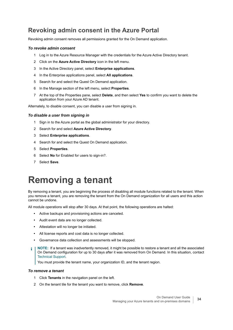### **Revoking admin consent in the Azure Portal**

Revoking admin consent removes all permissions granted for the On Demand application.

### *To revoke admin consent*

- 1 Log in to the Azure Resource Manager with the credentials for the Azure Active Directory tenant.
- 2 Click on the **Azure Active Directory** icon in the left menu.
- 3 In the Active Directory panel, select **Enterprise applications**.
- 4 In the Enterprise applications panel, select **All applications**.
- 5 Search for and select the Quest On Demand application.
- 6 In the Manage section of the left menu, select **Properties**.
- 7 At the top of the Properties pane, select **Delete**, and then select **Yes** to confirm you want to delete the application from your Azure AD tenant.

Alternately, to disable consent, you can disable a user from signing in.

#### *To disable a user from signing in*

- 1 Sign in to the Azure portal as the global administrator for your directory.
- 2 Search for and select **Azure Active Directory**.
- 3 Select **Enterprise applications**.
- 4 Search for and select the Quest On Demand application.
- 5 Select **Properties**.
- 6 Select **No** for Enabled for users to sign-in?.
- 7 Select **Save**.

## <span id="page-33-0"></span>**Removing a tenant**

By removing a tenant, you are beginning the process of disabling all module functions related to the tenant. When you remove a tenant, you are removing the tenant from the On Demand organization for all users and this action cannot be undone.

All module operations will stop after 30 days. At that point, the following operations are halted:

- **•** Active backups and provisioning actions are canceled.
- **•** Audit event data are no longer collected.
- **•** Attestation will no longer be initiated.
- **•** All license reports and cost data is no longer collected.
- **•** Governance data collection and assessments will be stopped.
- **NOTE:** If a tenant was inadvertently removed, it might be possible to restore a tenant and all the associated ÷ On Demand configuration for up to 30 days after it was removed from On Demand. In this situation, contact [Technical Support](#page-52-5).

You must provide the tenant name, your organization ID, and the tenant region.

#### *To remove a tenant*

- 1 Click **Tenants** in the navigation panel on the left.
- 2 On the tenant tile for the tenant you want to remove, click **Remove**.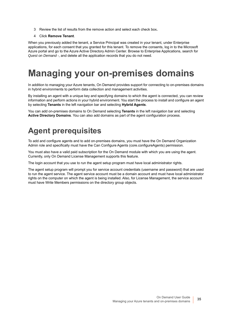- 3 Review the list of results from the remove action and select each check box**.**
- 4 Click **Remove Tenant**.

When you previously added the tenant, a Service Principal was created in your tenant, under Enterprise applications, for each consent that you granted for this tenant. To remove the consents, log in to the Microsoft Azure portal and go to the Azure Active Directory Admin Center. Browse to Enterprise Applications, search for *Quest on Demand -*, and delete all the application records that you do not need.

# <span id="page-34-0"></span>**Managing your on-premises domains**

In addition to managing your Azure tenants, On Demand provides support for connecting to on-premises domains in hybrid environments to perform data collection and management activities.

By installing an agent with a unique key and specifying domains to which the agent is connected, you can review information and perform actions in your hybrid environment. You start the process to install and configure an agent by selecting **Tenants** in the left navigation bar and selecting **Hybrid Agents**.

You can add on-premises domains to On Demand selecting **Tenants** in the left navigation bar and selecting **Active Directory Domains**. You can also add domains as part of the agent configuration process.

## <span id="page-34-1"></span>**Agent prerequisites**

To add and configure agents and to add on-premises domains, you must have the On Demand Organization Admin role and specifically must have the Can Configure Agents (core.configureAgents) permission.

You must also have a valid paid subscription for the On Demand module with which you are using the agent. Currently, only On Demand License Management supports this feature.

The login account that you use to run the agent setup program must have local administrator rights.

The agent setup program will prompt you for service account credentials (username and password) that are used to run the agent service. The agent service account must be a domain account and must have local administrator rights on the computer on which the agent is being installed. Also, for License Management, the service account must have Write Members permissions on the directory group objects.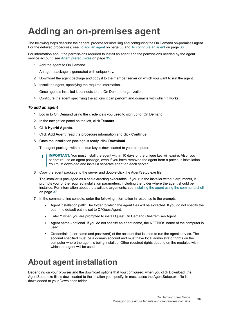# <span id="page-35-0"></span>**Adding an on-premises agent**

The following steps describe the general process for installing and configuring the On Demand on-premises agent. For the detailed procedures, see [To add an agent on page 36](#page-35-1) and [To configure an agent on page 38.](#page-37-2)

For information about the permissions required to install an agent and the permissions needed by the agent service account, see [Agent prerequisites on page 35](#page-34-1).

1 Add the agent to On Demand.

An agent package is generated with unique key.

- 2 Download the agent package and copy it to the member server on which you want to run the agent.
- 3 Install the agent, specifying the required information.

Once agent is installed it connects to the On Demand organization.

4 Configure the agent specifying the actions it can perform and domains with which it works.

### <span id="page-35-1"></span>*To add an agent*

- 1 Log in to On Demand using the credentials you used to sign up for On Demand.
- 2 In the navigation panel on the left, click **Tenants**.
- 3 Click **Hybrid Agents**.
- 4 Click **Add Agent**, read the procedure information and click **Continue**.
- 5 Once the installation package is ready, click **Download**.

The agent package with a unique key is downloaded to your computer.

- **IMPORTANT:** You must install the agent within 10 days or the unique key will expire. Also, you î. cannot re-use an agent package, even if you have removed the agent from a previous installation. You must download and install a separate agent on each server.
- 6 Copy the agent package to the server and double-click the AgentSetup.exe file.

The installer is packaged as a self-extracting executable. If you run the installer without arguments, it prompts you for the required installation parameters, including the folder where the agent should be installed. For information about the available arguments, see [Installing the agent using the command shell](#page-36-0) [on page 37.](#page-36-0)

- 7 In the command line console, enter the following information in response to the prompts:
	- **▪** Agent installation path: The folder to which the agent files will be extracted. If you do not specify the path, the default path is set to C:\QuestAgent.
	- **▪** Enter Y when you are prompted to install Quest On Demand On-Premises Agent.
	- **▪** Agent name optional. If you do not specify an agent name, the NETBIOS name of the computer is used.
	- **▪** Credentials (user name and password) of the account that is used to run the agent service. The account specified must be a domain account and must have local administrator rights on the computer where the agent is being installed. Other required rights depend on the modules with which the agent will be used.

## **About agent installation**

Depending on your browser and the download options that you configured, when you click Download, the AgentSetup.exe file is downloaded to the location you specify. In most cases the AgentSetup.exe file is downloaded to your Downloads folder.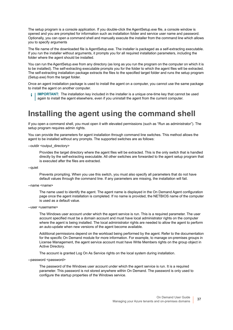The setup program is a console application. If you double-click the AgentSetup.exe file, a console window is opened and you are prompted for information such as installation folder and service user name and password. Optionally, you can open a command shell and manually execute the installer from the command line which allows you to specify arguments

The file name of the downloaded file is AgentSetup.exe. The installer is packaged as a self-extracting executable. If you run the installer without arguments, it prompts you for all required installation parameters, including the folder where the agent should be installed.

You can run the AgentSetup.exe from any directory (as long as you run the program on the computer on which it is to be installed). The self-extracting executable prompts you for the folder to which the agent files will be extracted. The self-extracting installation package extracts the files to the specified target folder and runs the setup program (Setup.exe) from the target folder.

Once an agent installation package is used to install the agent on a computer, you cannot use the same package to install the agent on another computer.

**IMPORTANT:** The installation key included in the installer is a unique one-time key that cannot be used ÷ again to install the agent elsewhere, even if you uninstall the agent from the current computer.

## <span id="page-36-0"></span>**Installing the agent using the command shell**

If you open a command shell, you must open it with elevated permissions (such as "Run as administrator"). The setup program requires admin rights.

You can provide the parameters for agent installation through command line switches. This method allows the agent to be installed without any prompts. The supported switches are as follows:

--outdir <output\_directory>

Provides the target directory where the agent files will be extracted. This is the only switch that is handled directly by the self-extracting executable. All other switches are forwarded to the agent setup program that is executed after the files are extracted.

--quiet

Prevents prompting. When you use this switch, you must also specify all parameters that do not have default values through the command line. If any parameters are missing, the installation will fail.

--name <name>

The name used to identify the agent. The agent name is displayed in the On Demand Agent configuration page once the agent installation is completed. If no name is provided, the NETBIOS name of the computer is used as a default value.

--user <username>

The Windows user account under which the agent service is run. This is a required parameter. The user account specified must be a domain account and must have local administrator rights on the computer where the agent is being installed. The local administrator rights are needed to allow the agent to perform an auto-update when new versions of the agent become available.

Additional permissions depend on the workload being performed by the agent. Refer to the documentation for the specific On Demand module for more information. For example, to manage on-premises groups in License Management, the agent service account must have Write Members rights on the group object in Active Directory.

The account is granted Log On As Service rights on the local system during installation.

--password <password>

The password of the Windows user account under which the agent service is run. It is a required parameter. This password is not stored anywhere within On Demand. The password is only used to configure the startup properties of the Windows service.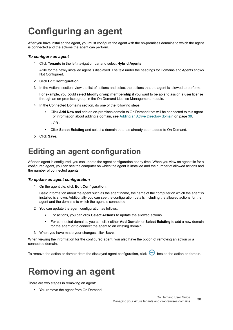# <span id="page-37-0"></span>**Configuring an agent**

After you have installed the agent, you must configure the agent with the on-premises domains to which the agent is connected and the actions the agent can perform.

### <span id="page-37-2"></span>*To configure an agent*

1 Click **Tenants** in the left navigation bar and select **Hybrid Agents**.

A tile for the newly installed agent is displayed. The text under the headings for Domains and Agents shows Not Configured.

- 2 Click **Edit Configuration**.
- 3 In the Actions section, view the list of actions and select the actions that the agent is allowed to perform.

For example, you could select **Modify group membership** if you want to be able to assign a user license through an on-premises group in the On Demand License Management module.

- 4 In the Connected Domains section, do one of the following steps:
	- **▪** Click **Add New** and add an on-premises domain to On Demand that will be connected to this agent. For information about adding a domain, see [Adding an Active Directory domain on page 39.](#page-38-0)

- OR -

- **▪** Click **Select Existing** and select a domain that has already been added to On Demand.
- 5 Click **Save**.

## **Editing an agent configuration**

After an agent is configured, you can update the agent configuration at any time. When you view an agent tile for a configured agent, you can see the computer on which the agent is installed and the number of allowed actions and the number of connected agents.

### *To update an agent configuration*

1 On the agent tile, click **Edit Configuration**.

Basic information about the agent such as the agent name, the name of the computer on which the agent is installed is shown. Additionally you can see the configuration details including the allowed actions for the agent and the domains to which the agent is connected.

- 2 You can update the agent configuration as follows:
	- **▪** For actions, you can click **Select Actions** to update the allowed actions.
	- **▪** For connected domains, you can click either **Add Domain** or **Select Existing** to add a new domain for the agent or to connect the agent to an existing domain.
- 3 When you have made your changes, click **Save**.

When viewing the information for the configured agent, you also have the option of removing an action or a connected domain.

To remove the action or domain from the displayed agent configuration, click  $\Theta$  beside the action or domain.

## <span id="page-37-1"></span>**Removing an agent**

There are two stages in removing an agent:

**•** You remove the agent from On Demand.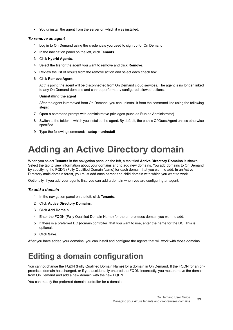**•** You uninstall the agent from the server on which it was installed.

### *To remove an agent*

- 1 Log in to On Demand using the credentials you used to sign up for On Demand.
- 2 In the navigation panel on the left, click **Tenants**.
- 3 Click **Hybrid Agents**.
- 4 Select the tile for the agent you want to remove and click **Remove**.
- 5 Review the list of results from the remove action and select each check box**.**
- 6 Click **Remove Agent.**

At this point, the agent will be disconnected from On Demand cloud services. The agent is no longer linked to any On Demand domains and cannot perform any configured allowed actions.

### **Uninstalling the agent**

After the agent is removed from On Demand, you can uninstall it from the command line using the following steps:

- 7 Open a command prompt with administrative privileges (such as Run as Administrator).
- 8 Switch to the folder in which you installed the agent. By default, the path is C:\QuestAgent unless otherwise specified.
- 9 Type the following command: **setup --uninstall**

# <span id="page-38-0"></span>**Adding an Active Directory domain**

When you select **Tenants** in the navigation panel on the left, a tab titled **Active Directory Domains** is shown. Select the tab to view information about your domains and to add new domains. You add domains to On Demand by specifying the FQDN (Fully Qualified Domain Name) for each domain that you want to add. In an Active Directory multi-domain forest, you must add each parent and child domain with which you want to work.

Optionally, if you add your agents first, you can add a domain when you are configuring an agent.

### *To add a domain*

- 1 In the navigation panel on the left, click **Tenants**.
- 2 Click **Active Directory Domains**.
- 3 Click **Add Domain**.
- 4 Enter the FQDN (Fully Qualified Domain Name) for the on-premises domain you want to add.
- 5 If there is a preferred DC (domain controller) that you want to use, enter the name for the DC. This is optional.
- 6 Click **Save**.

After you have added your domains, you can install and configure the agents that will work with those domains.

## **Editing a domain configuration**

You cannot change the FQDN (Fully Qualified Domain Name) for a domain in On Demand. If the FQDN for an onpremises domain has changed, or if you accidentally entered the FQDN incorrectly, you must remove the domain from On Demand and add a new domain with the new FQDN.

You can modify the preferred domain controller for a domain.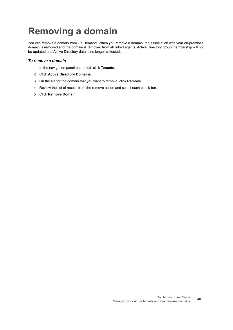# <span id="page-39-0"></span>**Removing a domain**

You can remove a domain from On Demand. When you remove a domain, the association with your on-premises domain is removed and the domain is removed from all linked agents. Active Directory group membership will not be updated and Active Directory data is no longer collected.

### *To remove a domain*

- 1 In the navigation panel on the left, click **Tenants**.
- 2 Click **Active Directory Domains**.
- 3 On the tile for the domain that you want to remove, click **Remove**.
- 4 Review the list of results from the remove action and select each check box**.**
- 5 Click **Remove Domain**.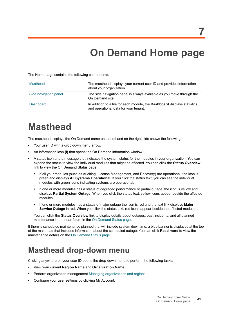# <span id="page-40-3"></span>**On Demand Home page**

<span id="page-40-0"></span>The Home page contains the following components.

| Masthead              | The masthead displays your current user ID and provides information<br>about your organization.                          |
|-----------------------|--------------------------------------------------------------------------------------------------------------------------|
| Side navigation panel | The side navigation panel is always available as you move through the<br>On Demand site.                                 |
| Dashboard             | In addition to a tile for each module, the <b>Dashboard</b> displays statistics<br>and operational data for your tenant. |

# <span id="page-40-1"></span>**Masthead**

The masthead displays the On Demand name on the left and on the right side shows the following:

- **•** Your user ID with a drop down menu arrow.
- **•** An information icon **(i)** that opens the On Demand information window.
- **•** A status icon and a message that indicates the system status for the modules in your organization. You can expand the status to view the individual modules that might be affected. You can click the **Status Overview**  link to view the On Demand Status page.
	- **•** If all your modules (such as Auditing, License Management, and Recovery) are operational, the icon is green and displays **All Systems Operational**. If you click the status text, you can see the individual modules with green icons indicating systems are operational.
	- **•** If one or more modules has a status of degraded performance or partial outage, the icon is yellow and displays **Partial System Outage**. When you click the status text, yellow icons appear beside the affected modules.
	- **•** If one or more modules has a status of major outage the icon is red and the text link displays **Major Service Outage** in red. When you click the status text, red icons appear beside the affected modules .

You can click the **Status Overview** link to display details about outages, past incidents, and all planned maintenance in the near future in the [On Demand Status page](#page-41-1).

If there is scheduled maintenance planned that will include system downtime, a blue banner is displayed at the top of the masthead that includes information about the scheduled outage. You can click **Read more** to view the maintenance details on the [On Demand Status page.](#page-41-1)

## <span id="page-40-2"></span>**Masthead drop-down menu**

Clicking anywhere on your user ID opens the drop-down menu to perform the following tasks:

- **•** View your current **Region Name** and **Organization Name**.
- **•** Perform organization management [Managing organizations and regions](#page-13-2).
- **•** Configure your user settings by clicking My Account.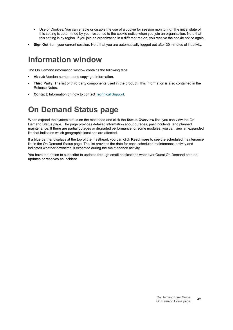- **•** Use of Cookies: You can enable or disable the use of a cookie for session monitoring. The initial state of this setting is determined by your response to the cookie notice when you join an organization. Note that this setting is by region. If you join an organization in a different region, you receive the cookie notice again.
- **Sign Out** from your current session. Note that you are automatically logged out after 30 minutes of inactivity.

## <span id="page-41-0"></span>**Information window**

The On Demand information window contains the following tabs:

- **About:** Version numbers and copyright information.
- **Third Party:** The list of third party components used in the product. This information is also contained in the Release Notes.
- **Contact:** Information on how to contact [Technical Support](#page-52-5).

## <span id="page-41-1"></span>**On Demand Status page**

When expand the system status on the masthead and click the **Status Overview** link, you can view the On Demand Status page. The page provides detailed information about outages, past incidents, and planned maintenance. If there are partial outages or degraded performance for some modules, you can view an expanded list that indicates which geographic locations are affected.

If a blue banner displays at the top of the masthead, you can click **Read more** to see the scheduled maintenance list in the On Demand Status page. The list provides the date for each scheduled maintenance activity and indicates whether downtime is expected during the maintenance activity.

You have the option to subscribe to updates through email notifications whenever Quest On Demand creates, updates or resolves an incident.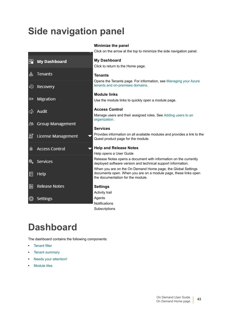# <span id="page-42-0"></span>**Side navigation panel**

|               |                         | <b>Minimize the panel</b>                                                                                                                                            |
|---------------|-------------------------|----------------------------------------------------------------------------------------------------------------------------------------------------------------------|
|               |                         | Click on the arrow at the top to minimize the side navigation panel.                                                                                                 |
| 昍             | <b>My Dashboard</b>     | <b>My Dashboard</b>                                                                                                                                                  |
|               |                         | Click to return to the Home page.                                                                                                                                    |
| ♨             | Tenants                 | <b>Tenants</b>                                                                                                                                                       |
| ⊕             | Recovery                | Opens the Tenants page. For information, see Managing your Azure<br>tenants and on-premises domains.                                                                 |
|               |                         | <b>Module links</b>                                                                                                                                                  |
| $\Rightarrow$ | Migration               | Use the module links to quickly open a module page.                                                                                                                  |
| Q٦            | Audit                   | <b>Access Control</b>                                                                                                                                                |
|               |                         | Manage users and their assigned roles. See Adding users to an<br>organization.                                                                                       |
| ஆ             | <b>Group Management</b> | <b>Services</b>                                                                                                                                                      |
| 圁             | License Management      | Provides information on all available modules and provides a link to the<br>Quest product page for the module.                                                       |
| 自             | <b>Access Control</b>   | <b>Help and Release Notes</b>                                                                                                                                        |
|               |                         | Help opens a User Guide                                                                                                                                              |
| ®.,           | Services                | Release Notes opens a document with information on the currently<br>deployed software version and technical support information.                                     |
| ⊡             | Help                    | When you are on the On Demand Home page, the Global Settings<br>documents open. When you are on a module page, these links open<br>the documentation for the module. |
| $\square$     | <b>Release Notes</b>    | <b>Settings</b>                                                                                                                                                      |
|               |                         | Activity trail                                                                                                                                                       |
|               | Settings                | Agents                                                                                                                                                               |
|               |                         | Notifications                                                                                                                                                        |
|               |                         | Subscriptions                                                                                                                                                        |
|               |                         |                                                                                                                                                                      |

# <span id="page-42-1"></span>**Dashboard**

The dashboard contains the following components:

- **•** [Tenant filter](#page-43-0)
- **•** [Tenant summary](#page-43-1)
- **•** [Needs your attention!](#page-43-2)
- **•** [Module tiles](#page-44-0)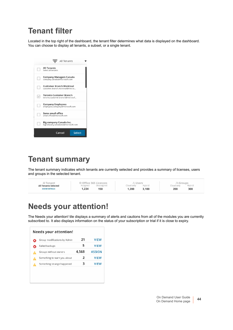## <span id="page-43-0"></span>**Tenant filter**

Located in the top right of the dashboard, the tenant filter determines what data is displayed on the dashboard. You can choose to display all tenants, a subset, or a single tenant.



## <span id="page-43-1"></span>**Tenant summary**

The tenant summary indicates which tenants are currently selected and provides a summary of licenses, users and groups in the selected tenant.

| 血 Tenant                    | © Office 365 Licences |            | & Users    |        | <b><i>AGroups</i></b> |        |
|-----------------------------|-----------------------|------------|------------|--------|-----------------------|--------|
| <b>All Tenants Selected</b> | Assigned              | Unassigned | Cloud only | Hybrid | Cloud only            | Hybrid |
| <b>SHOW DETAILS</b>         | .234                  | 150        | 1.200      | 3.100  | 200                   | 300    |
|                             |                       |            |            |        |                       |        |

## <span id="page-43-2"></span>**Needs your attention!**

The Needs your attention! tile displays a summary of alerts and cautions from all of the modules you are currenlty subscribed to. It also displays information on the status of your subscription or trial if it is close to expiry.

| Group modifications by Admin | 21    | <b>VIEW</b>   |
|------------------------------|-------|---------------|
| Failed backups               | 5     | <b>VIEW</b>   |
| Groups without owners        | 4,568 | <b>ASSIGN</b> |
| Something to warn you about  | 2     | <b>VIEW</b>   |
| Something strange happened   | з     | <b>VIEW</b>   |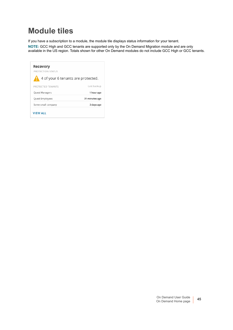## <span id="page-44-0"></span>**Module tiles**

If you have a subscription to a module, the module tile displays status information for your tenant.

**NOTE:** GCC High and GCC tenants are supported only by the On Demand Migration module and are only available in the US region. Totals shown for other On Demand modules do not include GCC High or GCC tenants.

| Recovery<br>PROTECTION STATUS      |                |
|------------------------------------|----------------|
| 4 of your 6 tenants are protected. |                |
| PROTECTED TENANTS                  | Last backup    |
| Quest Managers                     | 1 hour ago     |
| Quest Employees                    | 31 minutes ago |
| Some small company                 | 2 days ago     |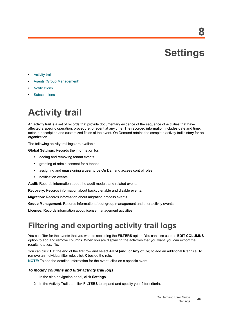<span id="page-45-2"></span>**Settings**

**8**

- <span id="page-45-0"></span>**•** [Activity trail](#page-45-1)
- **•** [Agents \(Group Management\)](#page-46-0)
- **•** [Notifications](#page-46-1)
- **•** [Subscriptions](#page-46-3)

# <span id="page-45-1"></span>**Activity trail**

An activity trail is a set of records that provide documentary evidence of the sequence of activities that have affected a specific operation, procedure, or event at any time. The recorded information includes date and time, actor, a description and customized fields of the event. On Demand retains the complete activity trail history for an organization.

The following activity trail logs are available:

**Global Settings**: Records the information for:

- **•** adding and removing tenant events
- **•** granting of admin consent for a tenant
- **•** assigning and unassigning a user to be On Demand access control roles
- **•** notification events

**Audit:** Records information about the audit module and related events.

**Recovery**: Records information about backup enable and disable events.

**Migration**: Records information about migration process events.

**Group Management**: Records information about group management and user activity events.

**License:** Records information about license management activities.

## **Filtering and exporting activity trail logs**

You can filter for the events that you want to see using the **FILTERS** option. You can also use the **EDIT COLUMNS** option to add and remove columns. When you are displaying the activities that you want, you can export the results to a .csv file.

You can click **+** at the end of the first row and select **All of (and)** or **Any of (or)** to add an additional filter rule. To remove an individual filter rule, click **X** beside the rule.

**NOTE:** To see the detailed information for the event, click on a specific event.

### *To modify columns and filter activity trail logs*

- 1 In the side navigation panel, click **Settings**.
- 2 In the Activity Trail tab, click **FILTERS** to expand and specify your filter criteria.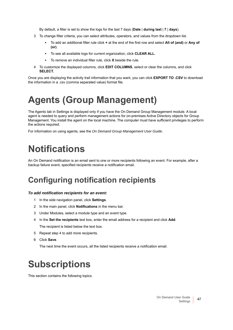By default, a filter is set to show the logs for the last 7 days (**Date** | **during last** | **7** | **days**).

- 3 To change filter criteria, you can select attributes, operators, and values from the dropdown list.
	- **▪** To add an additional filter rule click **+** at the end of the first row and select **All of (and)** or **Any of (or)**.
	- **▪** To see all available logs for current organization, click **CLEAR ALL**.
	- **▪** To remove an individual filter rule, click **X** beside the rule.
- 4 To customize the displayed columns, click **EDIT COLUMNS**, select or clear the columns, and click **SELECT.**

Once you are displaying the activity trail information that you want, you can click **EXPORT TO .CSV** to download the information in a .csv (comma separated value) format file.

# <span id="page-46-0"></span>**Agents (Group Management)**

The Agents tab in Settings is displayed only if you have the On Demand Group Management module. A local agent is needed to query and perform management actions for on-premises Active Directory objects for Group Management. You install the agent on the local machine. The computer must have sufficient privileges to perform the actions required.

For information on using agents, see the *On Demand Group Management User Guide*.

# <span id="page-46-1"></span>**Notifications**

An On Demand notification is an email sent to one or more recipients following an event. For example, after a backup failure event, specified recipients receive a notification email.

## <span id="page-46-2"></span>**Configuring notification recipients**

### *To add notification recipients for an event:*

- 1 In the side navigation panel, click **Settings**.
- 2 In the main panel, click **Notifications** in the menu bar.
- 3 Under Modules, select a module type and an event type.
- 4 In the **Set the recipients** text box, enter the email address for a recipient and click **Add**. The recipient is listed below the text box.
- 5 Repeat step 4 to add more recipients.
- 6 Click **Save**.

The next time the event occurs, all the listed recipients receive a notification email.

# <span id="page-46-3"></span>**Subscriptions**

This section contains the following topics.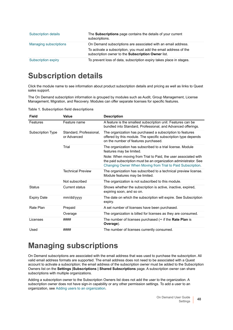| <b>Subscription details</b>   | The <b>Subscriptions</b> page contains the details of your current<br>subscriptions.                                                                                                     |
|-------------------------------|------------------------------------------------------------------------------------------------------------------------------------------------------------------------------------------|
| <b>Managing subscriptions</b> | On Demand subscriptions are associated with an email address.<br>To activate a subscription, you must add the email address of the<br>subscription owner to the Subscription Owner list. |
| Subscription expiry           | To prevent loss of data, subscription expiry takes place in stages.                                                                                                                      |

## <span id="page-47-0"></span>**Subscription details**

Click the module name to see information about product subscription details and pricing as well as links to Quest sales support.

The On Demand subscription information is grouped by modules such as Audit, Group Management, License Management, Migration, and Recovery. Modules can offer separate licenses for specific features.

| Field              | Value                                  | <b>Description</b>                                                                                                                                                                                |
|--------------------|----------------------------------------|---------------------------------------------------------------------------------------------------------------------------------------------------------------------------------------------------|
| Features           | Feature name                           | A feature is the smallest subscription unit. Features can be<br>bundled into Standard, Professional, and Advanced offerings.                                                                      |
| Subscription Type  | Standard, Professional,<br>or Advanced | The organization has purchased a subscription to features<br>offered by this module. The specific subscription type depends<br>on the number of features purchased.                               |
|                    | Trial                                  | The organization has subscribed to a trial license. Module<br>features may be limited.                                                                                                            |
|                    |                                        | Note: When moving from Trial to Paid, the user associated with<br>the paid subscription must be an organization administrator. See<br>Changing Owner When Moving from Trial to Paid Subscription. |
|                    | <b>Technical Preview</b>               | The organization has subscribed to a technical preview license.<br>Module features may be limited.                                                                                                |
|                    | Not subscribed                         | The organization is not subscribed to this module.                                                                                                                                                |
| <b>Status</b>      | Current status                         | Shows whether the subscription is active, inactive, expired,<br>expiring soon, and so on.                                                                                                         |
| <b>Expiry Date</b> | mm/dd/yyyy                             | The date on which the subscription will expire. See Subscription<br>expiry.                                                                                                                       |
| Rate Plan          | Prepaid                                | A set number of licenses have been purchased.                                                                                                                                                     |
|                    | Overage                                | The organization is billed for licenses as they are consumed.                                                                                                                                     |
| Licenses           | ####                                   | The number of licenses purchased ( $\infty$ if the Rate Plan is<br>Overage).                                                                                                                      |
| Used               | ####                                   | The number of licenses currently consumed.                                                                                                                                                        |

**Table 1. Subscription field descriptions**

## <span id="page-47-1"></span>**Managing subscriptions**

On Demand subscriptions are associated with the email address that was used to purchase the subscription. All valid email address formats are supported. The email address does not need to be associated with a Quest account to activate a subscription; the email address of the subscription owner must be added to the Subscription Owners list on the **Settings |Subscriptions | Shared Subscriptions** page. A subscription owner can share subscriptions with multiple organizations.

Adding a subscription owner to the Subscription Owners list does not add the user to the organization. A subscription owner does not have sign-in capability or any other permission settings. To add a user to an organization, see [Adding users to an organization](#page-18-5).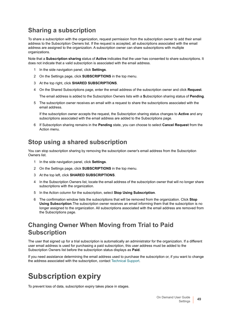### **Sharing a subscription**

To share a subscription with the organization, request permission from the subscription owner to add their email address to the Subscription Owners list. If the request is accepted, all subscriptions associated with the email address are assigned to the organization. A subscription owner can share subscriptions with multiple organizations.

Note that a **Subscription sharing** status of **Active** indicates that the user has consented to share subscriptions. It does not indicate that a valid subscription is associated with the email address.

- 1 In the side navigation panel, click **Settings**.
- 2 On the Settings page, click **SUBSCRIPTIONS** in the top menu.
- 3 At the top right, click **SHARED SUBSCRIPTIONS**.
- 4 On the Shared Subscriptions page, enter the email address of the subscription owner and click **Request**.

The email address is added to the Subscription Owners lists with a **S**ubscription sharing status of **Pending**.

5 The subscription owner receives an email with a request to share the subscriptions associated with the email address.

If the subscription owner accepts the request, the Subscription sharing status changes to **Active** and any subscriptions associated with the email address are added to the Subscriptions page.

6 If Subscription sharing remains in the **Pending** state, you can choose to select **Cancel Request** from the Action menu.

### **Stop using a shared subscription**

You can stop subscription sharing by removing the subscription owner's email address from the Subscription Owners list.

- 1 In the side navigation panel, click **Settings**.
- 2 On the Settings page, click **SUBSCRIPTIONS** in the top menu.
- 3 At the top left, click **SHARED SUBSCRIPTIONS**.
- 4 In the Subscription Owners list, locate the email address of the subscription owner that will no longer share subscriptions with the organization.
- 5 In the Action column for the subscription, select **Stop Using Subscription**.
- 6 The confirmation window lists the subscriptions that will be removed from the organization. Click **Stop Using Subscription**.The subscription owner receives an email informing them that the subscription is no longer assigned to the organization. All subscriptions associated with the email address are removed from the Subscriptions page.

### <span id="page-48-1"></span>**Changing Owner When Moving from Trial to Paid Subscription**

The user that signed up for a trial subscription is automatically an administrator for the organization. If a different user email address is used for purchasing a paid subscription, this user address must be added to the Subscription Owners list before the subscription status displays as **Paid**.

If you need assistance determining the email address used to purchase the subscription or, if you want to change the address associated with the subscription, contact [Technical Support](#page-52-5).

## <span id="page-48-0"></span>**Subscription expiry**

To prevent loss of data, subscription expiry takes place in stages.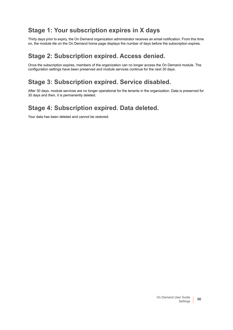### **Stage 1: Your subscription expires in X days**

Thirty days prior to expiry, the On Demand organization administrator receives an email notification. From this time on, the module tile on the On Demand home page displays the number of days before the subscription expires.

### **Stage 2: Subscription expired. Access denied.**

Once the subscription expires, members of the organization can no longer access the On Demand module. The configuration settings have been preserved and module services continue for the next 30 days.

### **Stage 3: Subscription expired. Service disabled.**

After 30 days, module services are no longer operational for the tenants in the organization. Data is preserved for 30 days and then, it is permanently deleted.

### **Stage 4: Subscription expired. Data deleted.**

Your data has been deleted and cannot be restored.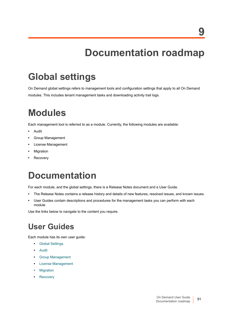# <span id="page-50-2"></span>**Documentation roadmap**

# <span id="page-50-1"></span><span id="page-50-0"></span>**Global settings**

On Demand global settings refers to management tools and configuration settings that apply to all On Demand modules. This includes tenant management tasks and downloading activity trail logs.

# **Modules**

Each management tool is referred to as a module. Currently, the following modules are available:

- **•** Audit
- **•** Group Management
- **•** License Management
- **•** Migration
- **•** Recovery

# **Documentation**

For each module, and the global settings, there is a Release Notes document and a User Guide.

- **•** The Release Notes contains a release history and details of new features, resolved issues, and known issues.
- **•** User Guides contain descriptions and procedures for the management tasks you can perform with each module

Use the links below to navigate to the content you require.

## **User Guides**

Each module has its own user guide:

- **•** [Global Settings](https://support.quest.com/technical-documents/on-demand-global-settings/current/user-guide/)
- **•** [Audit](https://support.quest.com/technical-documents/on-demand-audit/current/user-guide)
- **•** [Group Management](https://support.quest.com/technical-documents/on-demand-group-management/current/user-guide/)
- **•** [License Management](https://support.quest.com/technical-documents/on-demand-license-management/current/user-guide/)
- **•** [Migration](https://support.quest.com/technical-documents/on-demand-migration/current/user-guide)
- **•** [Recovery](https://support.quest.com/technical-documents/on-demand-recovery-for-azure-active-directory/current/user-guide/)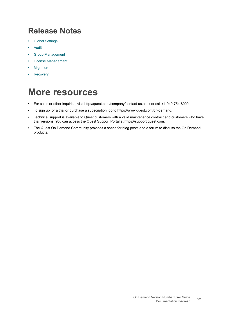## <span id="page-51-0"></span>**Release Notes**

- **•** [Global Settings](https://support.quest.com/technical-documents/on-demand-global-settings/current/release-notes/)
- **•** [Audit](https://support.quest.com/technical-documents/on-demand-audit/current/release-notes)
- **•** [Group Management](https://support.quest.com/technical-documents/on-demand-group-management/current/release-notes/)
- **•** [License Management](https://support.quest.com/technical-documents/on-demand-license-management/current/release-notes#TOPIC-1270383)
- **•** [Migration](https://support.quest.com/technical-documents/on-demand-migration/current/release-notes)
- **•** [Recovery](https://support.quest.com/technical-documents/on-demand-recovery-for-azure-active-directory/current/release-notes/)

# <span id="page-51-1"></span>**More resources**

- **•** For sales or other inquiries, visit http://quest.com/company/contact-us.aspx or call +1-949-754-8000.
- **•** To sign up for a trial or purchase a subscription, go to https://www.quest.com/on-demand.
- **•** Technical support is available to Quest customers with a valid maintenance contract and customers who have trial versions. You can access the Quest Support Portal at https://support.quest.com.
- **•** The Quest On Demand Community provides a space for blog posts and a forum to discuss the On Demand products.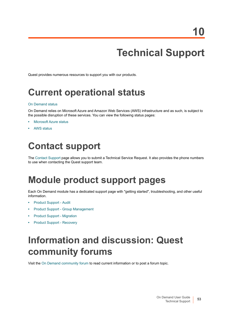# <span id="page-52-5"></span>**Technical Support**

<span id="page-52-0"></span>Quest provides numerous resources to support you with our products.

# <span id="page-52-1"></span>**Current operational status**

### [On Demand status](https://status.quest-on-demand.com/)

On Demand relies on Microsoft Azure and Amazon Web Services (AWS) infrastructure and as such, is subject to the possible disruption of these services. You can view the following status pages:

- **•** [Microsoft Azure status](https://status.azure.com/en-gb/status)
- **•** [AWS status](https://status.aws.amazon.com/)

# <span id="page-52-2"></span>**Contact support**

The [Contact Support](https://support.quest.com/contact-support) page allows you to submit a Technical Service Request. It also provides the phone numbers to use when contacting the Quest support team.

# <span id="page-52-3"></span>**Module product support pages**

Each On Demand module has a dedicated support page with "getting started", troubleshooting, and other useful information.

- **•** [Product Support Audit](https://support.quest.com/on-demand-audit/current)
- **•** [Product Support Group Management](https://support.quest.com/on-demand-group-management/current)
- **•** [Product Support Migration](https://support.quest.com/on-demand-migration/current)
- **•** [Product Support Recovery](https://support.quest.com/on-demand-recovery/current)

# <span id="page-52-4"></span>**Information and discussion: Quest community forums**

Visit the [On Demand community forum](https://www.quest.com/community/on-demand) to read current information or to post a forum topic.